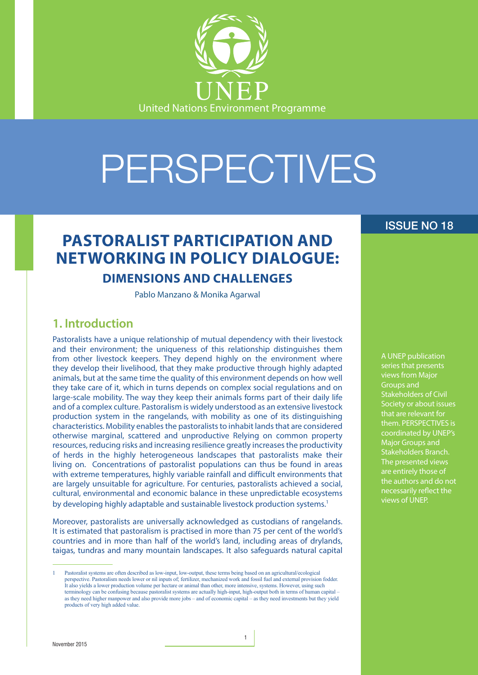

# PERSPECTIVES

## **PASTORALIST PARTICIPATION AND NETWORKING IN POLICY DIALOGUE:**

## **DIMENSIONS AND CHALLENGES**

Pablo Manzano & Monika Agarwal

## **1. Introduction**

Pastoralists have a unique relationship of mutual dependency with their livestock and their environment; the uniqueness of this relationship distinguishes them from other livestock keepers. They depend highly on the environment where they develop their livelihood, that they make productive through highly adapted animals, but at the same time the quality of this environment depends on how well they take care of it, which in turns depends on complex social regulations and on large-scale mobility. The way they keep their animals forms part of their daily life and of a complex culture. Pastoralism is widely understood as an extensive livestock production system in the rangelands, with mobility as one of its distinguishing characteristics. Mobility enables the pastoralists to inhabit lands that are considered otherwise marginal, scattered and unproductive Relying on common property resources, reducing risks and increasing resilience greatly increases the productivity of herds in the highly heterogeneous landscapes that pastoralists make their living on. Concentrations of pastoralist populations can thus be found in areas with extreme temperatures, highly variable rainfall and difficult environments that are largely unsuitable for agriculture. For centuries, pastoralists achieved a social, cultural, environmental and economic balance in these unpredictable ecosystems by developing highly adaptable and sustainable livestock production systems.<sup>1</sup>

Moreover, pastoralists are universally acknowledged as custodians of rangelands. It is estimated that pastoralism is practised in more than 75 per cent of the world's countries and in more than half of the world's land, including areas of drylands, taigas, tundras and many mountain landscapes. It also safeguards natural capital

### ISSUE NO 18

A UNEP publication series that presents views from Major Groups and Stakeholders of Civil Society or about issues that are relevant for them. PERSPECTIVES is coordinated by UNEP's Major Groups and Stakeholders Branch. The presented views are entirely those of the authors and do not necessarily reflect the views of UNEP.

<sup>1</sup> Pastoralist systems are often described as low-input, low-output, these terms being based on an agricultural/ecological perspective. Pastoralism needs lower or nil inputs of; fertilizer, mechanized work and fossil fuel and external provision fodder. It also yields a lower production volume per hectare or animal than other, more intensive, systems. However, using such terminology can be confusing because pastoralist systems are actually high-input, high-output both in terms of human capital – as they need higher manpower and also provide more jobs – and of economic capital – as they need investments but they yield products of very high added value.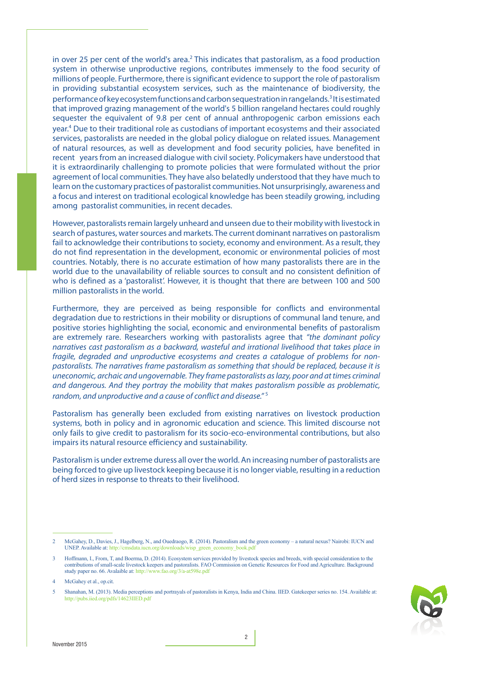in over 25 per cent of the world's area.<sup>2</sup> This indicates that pastoralism, as a food production system in otherwise unproductive regions, contributes immensely to the food security of millions of people. Furthermore, there is significant evidence to support the role of pastoralism in providing substantial ecosystem services, such as the maintenance of biodiversity, the performance of key ecosystem functions and carbon sequestration in rangelands.<sup>3</sup> It is estimated that improved grazing management of the world's 5 billion rangeland hectares could roughly sequester the equivalent of 9.8 per cent of annual anthropogenic carbon emissions each year.<sup>4</sup> Due to their traditional role as custodians of important ecosystems and their associated services, pastoralists are needed in the global policy dialogue on related issues. Management of natural resources, as well as development and food security policies, have benefited in recent years from an increased dialogue with civil society. Policymakers have understood that it is extraordinarily challenging to promote policies that were formulated without the prior agreement of local communities. They have also belatedly understood that they have much to learn on the customary practices of pastoralist communities. Not unsurprisingly, awareness and a focus and interest on traditional ecological knowledge has been steadily growing, including among pastoralist communities, in recent decades.

However, pastoralists remain largely unheard and unseen due to their mobility with livestock in search of pastures, water sources and markets. The current dominant narratives on pastoralism fail to acknowledge their contributions to society, economy and environment. As a result, they do not find representation in the development, economic or environmental policies of most countries. Notably, there is no accurate estimation of how many pastoralists there are in the world due to the unavailability of reliable sources to consult and no consistent definition of who is defined as a 'pastoralist'. However, it is thought that there are between 100 and 500 million pastoralists in the world.

Furthermore, they are perceived as being responsible for conflicts and environmental degradation due to restrictions in their mobility or disruptions of communal land tenure, and positive stories highlighting the social, economic and environmental benefits of pastoralism are extremely rare. Researchers working with pastoralists agree that *"the dominant policy narratives cast pastoralism as a backward, wasteful and irrational livelihood that takes place in fragile, degraded and unproductive ecosystems and creates a catalogue of problems for nonpastoralists. The narratives frame pastoralism as something that should be replaced, because it is uneconomic, archaic and ungovernable. They frame pastoralists as lazy, poor and at times criminal and dangerous. And they portray the mobility that makes pastoralism possible as problematic, random, and unproductive and a cause of conflict and disease."* <sup>5</sup>

Pastoralism has generally been excluded from existing narratives on livestock production systems, both in policy and in agronomic education and science. This limited discourse not only fails to give credit to pastoralism for its socio-eco-environmental contributions, but also impairs its natural resource efficiency and sustainability.

Pastoralism is under extreme duress all over the world. An increasing number of pastoralists are being forced to give up livestock keeping because it is no longer viable, resulting in a reduction of herd sizes in response to threats to their livelihood.

<sup>5</sup> Shanahan, M. (2013). Media perceptions and portrayals of pastoralists in Kenya, India and China. IIED. Gatekeeper series no. 154. Available at: http://pubs.iied.org/pdfs/14623IIED.pdf



<sup>2</sup> McGahey, D., Davies, J., Hagelberg, N., and Ouedraogo, R. (2014). Pastoralism and the green economy – a natural nexus? Nairobi: IUCN and UNEP. Available at: http://cmsdata.iucn.org/downloads/wisp\_green\_economy\_book.pdf

<sup>3</sup> Hoffmann, I., From, T, and Boerma, D. (2014). Ecosystem services provided by livestock species and breeds, with special consideration to the contributions of small-scale livestock keepers and pastoralists. FAO Commission on Genetic Resources for Food and Agriculture. Background study paper no. 66. Avalaible at: http://www.fao.org/3/a-at598e.pdf

<sup>4</sup> McGahey et al., op.cit.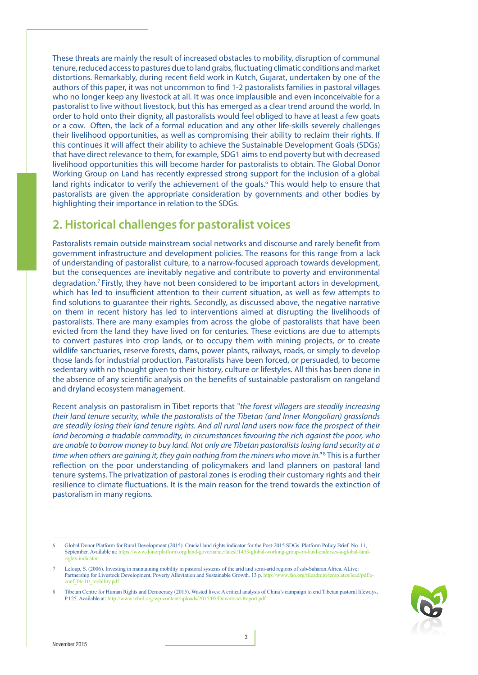These threats are mainly the result of increased obstacles to mobility, disruption of communal tenure, reduced access to pastures due to land grabs, fluctuating climatic conditions and market distortions. Remarkably, during recent field work in Kutch, Gujarat, undertaken by one of the authors of this paper, it was not uncommon to find 1-2 pastoralists families in pastoral villages who no longer keep any livestock at all. It was once implausible and even inconceivable for a pastoralist to live without livestock, but this has emerged as a clear trend around the world. In order to hold onto their dignity, all pastoralists would feel obliged to have at least a few goats or a cow. Often, the lack of a formal education and any other life-skills severely challenges their livelihood opportunities, as well as compromising their ability to reclaim their rights. If this continues it will affect their ability to achieve the Sustainable Development Goals (SDGs) that have direct relevance to them, for example, SDG1 aims to end poverty but with decreased livelihood opportunities this will become harder for pastoralists to obtain. The Global Donor Working Group on Land has recently expressed strong support for the inclusion of a global land rights indicator to verify the achievement of the goals.<sup>6</sup> This would help to ensure that pastoralists are given the appropriate consideration by governments and other bodies by highlighting their importance in relation to the SDGs.

## **2. Historical challenges for pastoralist voices**

Pastoralists remain outside mainstream social networks and discourse and rarely benefit from government infrastructure and development policies. The reasons for this range from a lack of understanding of pastoralist culture, to a narrow-focused approach towards development, but the consequences are inevitably negative and contribute to poverty and environmental degradation.7 Firstly, they have not been considered to be important actors in development, which has led to insufficient attention to their current situation, as well as few attempts to find solutions to guarantee their rights. Secondly, as discussed above, the negative narrative on them in recent history has led to interventions aimed at disrupting the livelihoods of pastoralists. There are many examples from across the globe of pastoralists that have been evicted from the land they have lived on for centuries. These evictions are due to attempts to convert pastures into crop lands, or to occupy them with mining projects, or to create wildlife sanctuaries, reserve forests, dams, power plants, railways, roads, or simply to develop those lands for industrial production. Pastoralists have been forced, or persuaded, to become sedentary with no thought given to their history, culture or lifestyles. All this has been done in the absence of any scientific analysis on the benefits of sustainable pastoralism on rangeland and dryland ecosystem management.

Recent analysis on pastoralism in Tibet reports that "*the forest villagers are steadily increasing their land tenure security, while the pastoralists of the Tibetan (and Inner Mongolian) grasslands are steadily losing their land tenure rights. And all rural land users now face the prospect of their land becoming a tradable commodity, in circumstances favouring the rich against the poor, who are unable to borrow money to buy land. Not only are Tibetan pastoralists losing land security at a*  time when others are gaining it, they gain nothing from the miners who move in."<sup>8</sup> This is a further reflection on the poor understanding of policymakers and land planners on pastoral land tenure systems. The privatization of pastoral zones is eroding their customary rights and their resilience to climate fluctuations. It is the main reason for the trend towards the extinction of pastoralism in many regions.

<sup>8</sup> Tibetan Centre for Human Rights and Democracy (2015). Wasted lives: A critical analysis of China's campaign to end Tibetan pastoral lifeways, P.125. Available at: http://www.tchrd.org/wp-content/uploads/2015/05/Download-Report.pdf



<sup>6</sup> Global Donor Platform for Rural Development (2015). Crucial land rights indicator for the Post-2015 SDGs. Platform Policy Brief No. 11, September. Available at: https://www.donorplatform.org/land-governance/latest/1453-global-working-group-on-land-endorses-a-global-landrights-indicato

Leloup, S. (2006). Investing in maintaining mobility in pastoral systems of the arid and semi-arid regions of sub-Saharan Africa. ALive:<br>Partnership for Livestock Development, Poverty Alleviation and Sustainable Growth. 13 Partnership for Livestock Development, Poverty Alleviation and Sustainable Growth. 13 p. http://v conf\_06-10\_mobility.pdf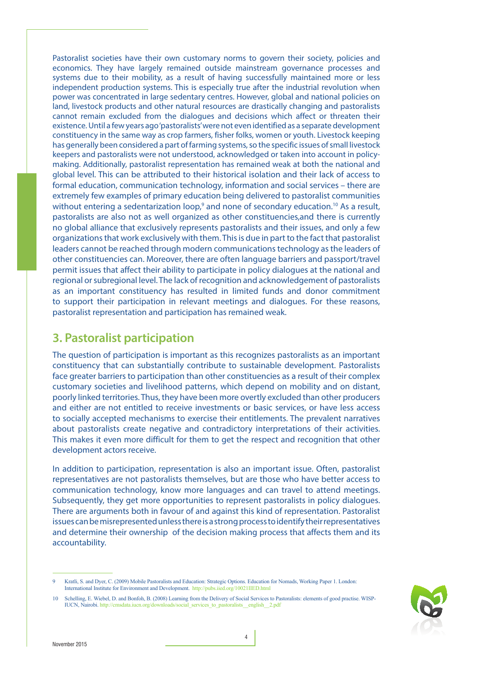Pastoralist societies have their own customary norms to govern their society, policies and economics. They have largely remained outside mainstream governance processes and systems due to their mobility, as a result of having successfully maintained more or less independent production systems. This is especially true after the industrial revolution when power was concentrated in large sedentary centres. However, global and national policies on land, livestock products and other natural resources are drastically changing and pastoralists cannot remain excluded from the dialogues and decisions which affect or threaten their existence. Until a few years ago 'pastoralists' were not even identified as a separate development constituency in the same way as crop farmers, fisher folks, women or youth. Livestock keeping has generally been considered a part of farming systems, so the specific issues of small livestock keepers and pastoralists were not understood, acknowledged or taken into account in policymaking. Additionally, pastoralist representation has remained weak at both the national and global level. This can be attributed to their historical isolation and their lack of access to formal education, communication technology, information and social services – there are extremely few examples of primary education being delivered to pastoralist communities without entering a sedentarization loop,<sup>9</sup> and none of secondary education.<sup>10</sup> As a result, pastoralists are also not as well organized as other constituencies,and there is currently no global alliance that exclusively represents pastoralists and their issues, and only a few organizations that work exclusively with them. This is due in part to the fact that pastoralist leaders cannot be reached through modern communications technology as the leaders of other constituencies can. Moreover, there are often language barriers and passport/travel permit issues that affect their ability to participate in policy dialogues at the national and regional or subregional level. The lack of recognition and acknowledgement of pastoralists as an important constituency has resulted in limited funds and donor commitment to support their participation in relevant meetings and dialogues. For these reasons, pastoralist representation and participation has remained weak.

## **3. Pastoralist participation**

The question of participation is important as this recognizes pastoralists as an important constituency that can substantially contribute to sustainable development. Pastoralists face greater barriers to participation than other constituencies as a result of their complex customary societies and livelihood patterns, which depend on mobility and on distant, poorly linked territories. Thus, they have been more overtly excluded than other producers and either are not entitled to receive investments or basic services, or have less access to socially accepted mechanisms to exercise their entitlements. The prevalent narratives about pastoralists create negative and contradictory interpretations of their activities. This makes it even more difficult for them to get the respect and recognition that other development actors receive.

In addition to participation, representation is also an important issue. Often, pastoralist representatives are not pastoralists themselves, but are those who have better access to communication technology, know more languages and can travel to attend meetings. Subsequently, they get more opportunities to represent pastoralists in policy dialogues. There are arguments both in favour of and against this kind of representation. Pastoralist issues can be misrepresented unless there is a strong process to identify their representatives and determine their ownership of the decision making process that affects them and its accountability.

<sup>10</sup> Schelling, E. Wiebel, D. and Bonfoh, B. (2008) Learning from the Delivery of Social Services to Pastoralists: elements of good practise. WISP-IUCN, Nairobi. http://cmsdata.iucn.org/downloads/social\_services\_to\_pastoralists\_\_english\_\_2.pdf



<sup>9</sup> Kratli, S. and Dyer, C. (2009) Mobile Pastoralists and Education: Strategic Options. Education for Nomads, Working Paper 1. London: International Institute for Environment and Development. http://pubs.iied.org/10021IIED.html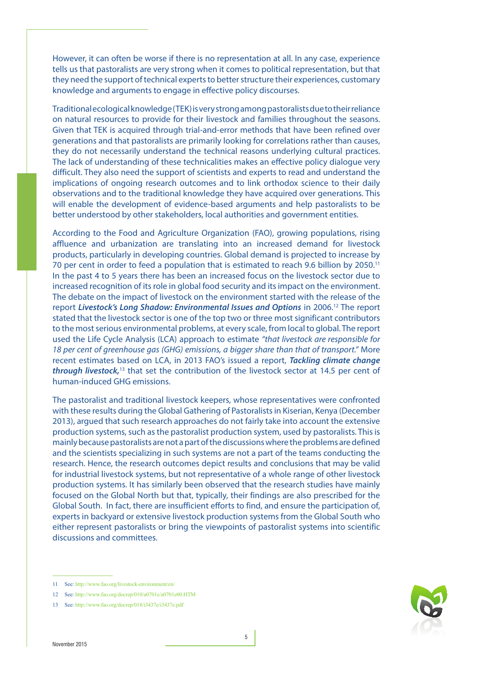However, it can often be worse if there is no representation at all. In any case, experience tells us that pastoralists are very strong when it comes to political representation, but that they need the support of technical experts to better structure their experiences, customary knowledge and arguments to engage in effective policy discourses.

Traditional ecological knowledge (TEK) is very strong among pastoralists due to their reliance on natural resources to provide for their livestock and families throughout the seasons. Given that TEK is acquired through trial-and-error methods that have been refined over generations and that pastoralists are primarily looking for correlations rather than causes, they do not necessarily understand the technical reasons underlying cultural practices. The lack of understanding of these technicalities makes an effective policy dialogue very difficult. They also need the support of scientists and experts to read and understand the implications of ongoing research outcomes and to link orthodox science to their daily observations and to the traditional knowledge they have acquired over generations. This will enable the development of evidence-based arguments and help pastoralists to be better understood by other stakeholders, local authorities and government entities.

According to the Food and Agriculture Organization (FAO), growing populations, rising affluence and urbanization are translating into an increased demand for livestock products, particularly in developing countries. Global demand is projected to increase by 70 per cent in order to feed a population that is estimated to reach 9.6 billion by 2050.11 In the past 4 to 5 years there has been an increased focus on the livestock sector due to increased recognition of its role in global food security and its impact on the environment. The debate on the impact of livestock on the environment started with the release of the report *Livestock's Long Shadow: Environmental Issues and Options* in 2006.12 The report stated that the livestock sector is one of the top two or three most significant contributors to the most serious environmental problems, at every scale, from local to global. The report used the Life Cycle Analysis (LCA) approach to estimate *"that livestock are responsible for 18 per cent of greenhouse gas (GHG) emissions, a bigger share than that of transport."* More recent estimates based on LCA, in 2013 FAO's issued a report, *Tackling climate change through livestock,*13 that set the contribution of the livestock sector at 14.5 per cent of human-induced GHG emissions.

The pastoralist and traditional livestock keepers, whose representatives were confronted with these results during the Global Gathering of Pastoralists in Kiserian, Kenya (December 2013), argued that such research approaches do not fairly take into account the extensive production systems, such as the pastoralist production system, used by pastoralists. This is mainly because pastoralists are not a part of the discussions where the problems are defined and the scientists specializing in such systems are not a part of the teams conducting the research. Hence, the research outcomes depict results and conclusions that may be valid for industrial livestock systems, but not representative of a whole range of other livestock production systems. It has similarly been observed that the research studies have mainly focused on the Global North but that, typically, their findings are also prescribed for the Global South. In fact, there are insufficient efforts to find, and ensure the participation of, experts in backyard or extensive livestock production systems from the Global South who either represent pastoralists or bring the viewpoints of pastoralist systems into scientific discussions and committees.



<sup>11</sup> See: http://www.fao.org/livestock-environment/en/

<sup>12</sup> See: http://www.fao.org/docrep/010/a0701e/a0701e00.HTM

<sup>13</sup> See: http://www.fao.org/docrep/018/i3437e/i3437e.pdf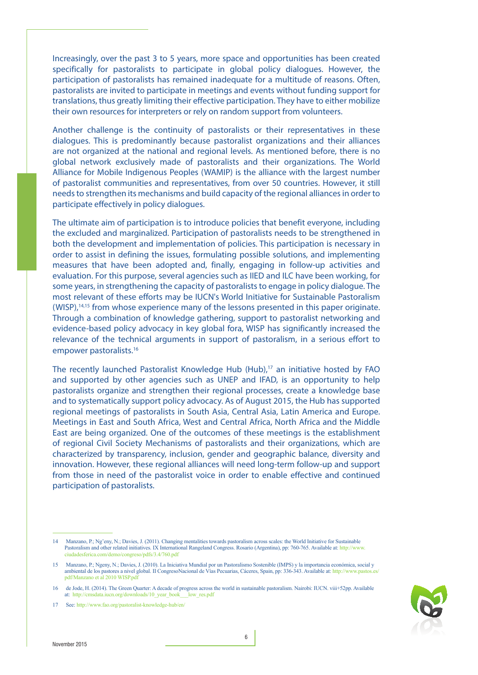Increasingly, over the past 3 to 5 years, more space and opportunities has been created specifically for pastoralists to participate in global policy dialogues. However, the participation of pastoralists has remained inadequate for a multitude of reasons. Often, pastoralists are invited to participate in meetings and events without funding support for translations, thus greatly limiting their effective participation. They have to either mobilize their own resources for interpreters or rely on random support from volunteers.

Another challenge is the continuity of pastoralists or their representatives in these dialogues. This is predominantly because pastoralist organizations and their alliances are not organized at the national and regional levels. As mentioned before, there is no global network exclusively made of pastoralists and their organizations. The World Alliance for Mobile Indigenous Peoples (WAMIP) is the alliance with the largest number of pastoralist communities and representatives, from over 50 countries. However, it still needs to strengthen its mechanisms and build capacity of the regional alliances in order to participate effectively in policy dialogues.

The ultimate aim of participation is to introduce policies that benefit everyone, including the excluded and marginalized. Participation of pastoralists needs to be strengthened in both the development and implementation of policies. This participation is necessary in order to assist in defining the issues, formulating possible solutions, and implementing measures that have been adopted and, finally, engaging in follow-up activities and evaluation. For this purpose, several agencies such as IIED and ILC have been working, for some years, in strengthening the capacity of pastoralists to engage in policy dialogue. The most relevant of these efforts may be IUCN's World Initiative for Sustainable Pastoralism (WISP),14,15 from whose experience many of the lessons presented in this paper originate. Through a combination of knowledge gathering, support to pastoralist networking and evidence-based policy advocacy in key global fora, WISP has significantly increased the relevance of the technical arguments in support of pastoralism, in a serious effort to empower pastoralists.16

The recently launched Pastoralist Knowledge Hub (Hub),<sup>17</sup> an initiative hosted by FAO and supported by other agencies such as UNEP and IFAD, is an opportunity to help pastoralists organize and strengthen their regional processes, create a knowledge base and to systematically support policy advocacy. As of August 2015, the Hub has supported regional meetings of pastoralists in South Asia, Central Asia, Latin America and Europe. Meetings in East and South Africa, West and Central Africa, North Africa and the Middle East are being organized. One of the outcomes of these meetings is the establishment of regional Civil Society Mechanisms of pastoralists and their organizations, which are characterized by transparency, inclusion, gender and geographic balance, diversity and innovation. However, these regional alliances will need long-term follow-up and support from those in need of the pastoralist voice in order to enable effective and continued participation of pastoralists.

<sup>14</sup> Manzano, P.; Ng'eny, N.; Davies, J. (2011). Changing mentalities towards pastoralism across scales: the World Initiative for Sustainable Pastoralism and other related initiatives. IX International Rangeland Congress. Rosario (Argentina), pp: 760-765. Available at: http://www. ciudadesferica.com/demo/congreso/pdfs/3.4/760.pdf

<sup>15</sup> Manzano, P.; Ngeny, N.; Davies, J. (2010). La Iniciativa Mundial por un Pastoralismo Sostenible (IMPS) y la importancia económica, social y ambiental de los pastores a nivel global. II CongresoNacional de Vías Pecuarias, Cáceres, Spain, pp: 336-343. Available at: http://www.pastos.es/ pdf/Manzano et al 2010 WISP.pdf

<sup>16</sup> de Jode, H. (2014). The Green Quarter: A decade of progress across the world in sustainable pastoralism. Nairobi: IUCN. viii+52pp. Available at: http://cmsdata.iucn.org/downloads/10\_year\_book\_\_\_low\_res.pdf

<sup>17</sup> See: http://www.fao.org/pastoralist-knowledge-hub/en/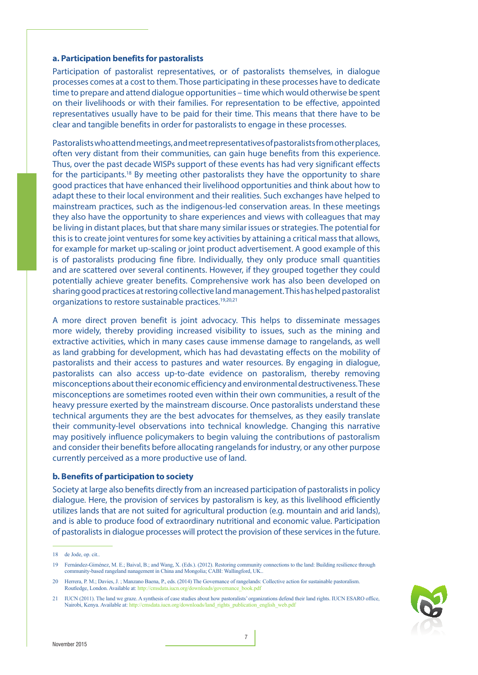#### **a. Participation benefits for pastoralists**

Participation of pastoralist representatives, or of pastoralists themselves, in dialogue processes comes at a cost to them. Those participating in these processes have to dedicate time to prepare and attend dialogue opportunities – time which would otherwise be spent on their livelihoods or with their families. For representation to be effective, appointed representatives usually have to be paid for their time. This means that there have to be clear and tangible benefits in order for pastoralists to engage in these processes.

Pastoralists who attend meetings, and meet representatives of pastoralists from other places, often very distant from their communities, can gain huge benefits from this experience. Thus, over the past decade WISPs support of these events has had very significant effects for the participants.18 By meeting other pastoralists they have the opportunity to share good practices that have enhanced their livelihood opportunities and think about how to adapt these to their local environment and their realities. Such exchanges have helped to mainstream practices, such as the indigenous-led conservation areas. In these meetings they also have the opportunity to share experiences and views with colleagues that may be living in distant places, but that share many similar issues or strategies. The potential for this is to create joint ventures for some key activities by attaining a critical mass that allows, for example for market up-scaling or joint product advertisement. A good example of this is of pastoralists producing fine fibre. Individually, they only produce small quantities and are scattered over several continents. However, if they grouped together they could potentially achieve greater benefits. Comprehensive work has also been developed on sharing good practices at restoring collective land management. This has helped pastoralist organizations to restore sustainable practices.<sup>19,20,21</sup>

A more direct proven benefit is joint advocacy. This helps to disseminate messages more widely, thereby providing increased visibility to issues, such as the mining and extractive activities, which in many cases cause immense damage to rangelands, as well as land grabbing for development, which has had devastating effects on the mobility of pastoralists and their access to pastures and water resources. By engaging in dialogue, pastoralists can also access up-to-date evidence on pastoralism, thereby removing misconceptions about their economic efficiency and environmental destructiveness. These misconceptions are sometimes rooted even within their own communities, a result of the heavy pressure exerted by the mainstream discourse. Once pastoralists understand these technical arguments they are the best advocates for themselves, as they easily translate their community-level observations into technical knowledge. Changing this narrative may positively influence policymakers to begin valuing the contributions of pastoralism and consider their benefits before allocating rangelands for industry, or any other purpose currently perceived as a more productive use of land.

#### **b. Benefits of participation to society**

Society at large also benefits directly from an increased participation of pastoralists in policy dialogue. Here, the provision of services by pastoralism is key, as this livelihood efficiently utilizes lands that are not suited for agricultural production (e.g. mountain and arid lands), and is able to produce food of extraordinary nutritional and economic value. Participation of pastoralists in dialogue processes will protect the provision of these services in the future.

<sup>21</sup> IUCN (2011). The land we graze. A synthesis of case studies about how pastoralists' organizations defend their land rights. IUCN ESARO office, Nairobi, Kenya. Available at: http://cmsdata.iucn.org/downloads/land\_rights\_publication\_english\_web.pdf



<sup>18</sup> de Jode, op. cit..

<sup>19</sup> Fernández-Giménez, M. E.; Baival, B.; and Wang, X. (Eds.). (2012). Restoring community connections to the land: Building resilience through community-based rangeland nanagement in China and Mongolia; CABI: Wallingford, UK..

<sup>20</sup> Herrera, P. M.; Davies, J. ; Manzano Baena, P., eds. (2014) The Governance of rangelands: Collective action for sustainable pastoralism. Routledge, London. Available at: http://cmsdata.iucn.org/downloads/governance\_book.pdf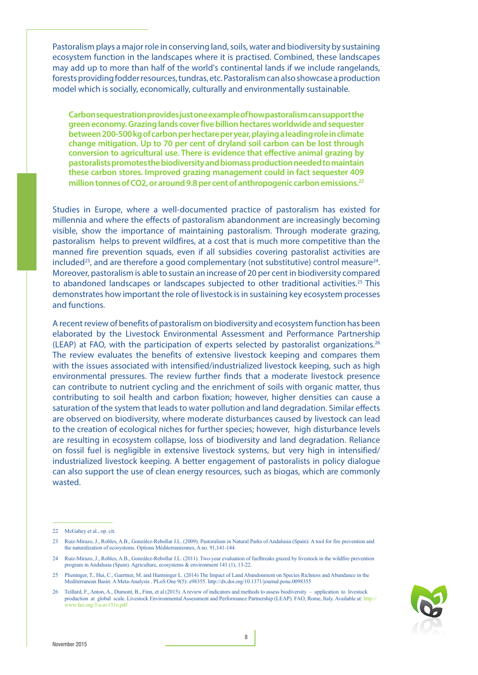Pastoralism plays a major role in conserving land, soils, water and biodiversity by sustaining ecosystem function in the landscapes where it is practised. Combined, these landscapes may add up to more than half of the world's continental lands if we include rangelands, forests providing fodder resources, tundras, etc. Pastoralism can also showcase a production model which is socially, economically, culturally and environmentally sustainable.

**Carbon sequestration provides just one example of how pastoralism can support the green economy. Grazing lands cover five billion hectares worldwide and sequester between 200-500 kg of carbon per hectare per year, playing a leading role in climate change mitigation. Up to 70 per cent of dryland soil carbon can be lost through conversion to agricultural use. There is evidence that effective animal grazing by pastoralists promotes the biodiversity and biomass production needed to maintain these carbon stores. Improved grazing management could in fact sequester 409 million tonnes of CO2, or around 9.8 per cent of anthropogenic carbon emissions.22**

Studies in Europe, where a well-documented practice of pastoralism has existed for millennia and where the effects of pastoralism abandonment are increasingly becoming visible, show the importance of maintaining pastoralism. Through moderate grazing, pastoralism helps to prevent wildfires, at a cost that is much more competitive than the manned fire prevention squads, even if all subsidies covering pastoralist activities are included<sup>23</sup>, and are therefore a good complementary (not substitutive) control measure<sup>24</sup>. Moreover, pastoralism is able to sustain an increase of 20 per cent in biodiversity compared to abandoned landscapes or landscapes subjected to other traditional activities.<sup>25</sup> This demonstrates how important the role of livestock is in sustaining key ecosystem processes and functions.

A recent review of benefits of pastoralism on biodiversity and ecosystem function has been elaborated by the Livestock Environmental Assessment and Performance Partnership (LEAP) at FAO, with the participation of experts selected by pastoralist organizations.<sup>26</sup> The review evaluates the benefits of extensive livestock keeping and compares them with the issues associated with intensified/industrialized livestock keeping, such as high environmental pressures. The review further finds that a moderate livestock presence can contribute to nutrient cycling and the enrichment of soils with organic matter, thus contributing to soil health and carbon fixation; however, higher densities can cause a saturation of the system that leads to water pollution and land degradation. Similar effects are observed on biodiversity, where moderate disturbances caused by livestock can lead to the creation of ecological niches for further species; however, high disturbance levels are resulting in ecosystem collapse, loss of biodiversity and land degradation. Reliance on fossil fuel is negligible in extensive livestock systems, but very high in intensified/ industrialized livestock keeping. A better engagement of pastoralists in policy dialogue can also support the use of clean energy resources, such as biogas, which are commonly wasted.

<sup>26</sup> Teillard, F., Anton, A., Dumont, B., Finn, et al (2015). A review of indicators and methods to assess biodiversity – application to livestock production at global scale. Livestock Environmental Assessment and Performance Partnership (LEAP). FAO, Rome, Italy. Available at: http:// www.fao.org/3/a-av151e.pdf



<sup>22</sup> McGahey et al., op. cit.

<sup>23</sup> Ruiz-Mirazo, J., Robles, A.B., González-Rebollar J.L. (2009). Pastoralism in Natural Parks of Andalusia (Spain): A tool for fire prevention and the naturalization of ecosystems. Options Méditerranéennes, A no. 91,141-144.

<sup>24</sup> Ruiz-Mirazo, J., Robles, A.B., González-Rebollar J.L. (2011). Two-year evaluation of fuelbreaks grazed by livestock in the wildfire prevention program in Andalusia (Spain). Agriculture, ecosystems & environment 141 (1), 13-22.

<sup>25</sup> Plieninger, T., Hui, C., Gaertner, M. and Huntsinger L. (2014) The Impact of Land Abandonment on Species Richness and Abundance in the Mediterranean Basin: A Meta-Analysis . PLoS One 9(5): e98355. http://dx.doi.org/10.1371/journal.pone.0098355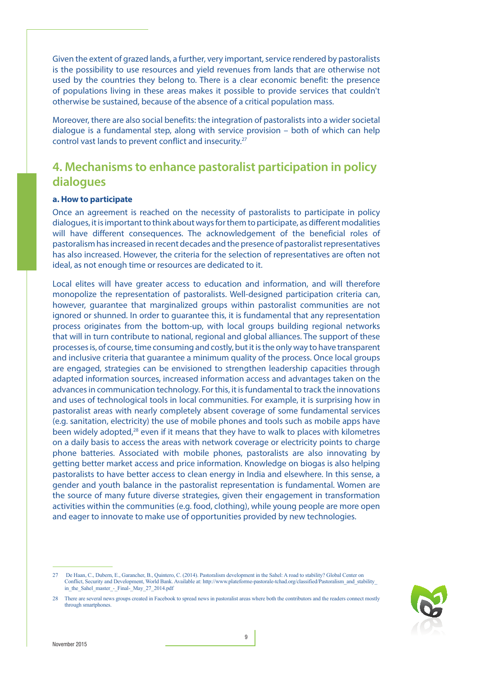Given the extent of grazed lands, a further, very important, service rendered by pastoralists is the possibility to use resources and yield revenues from lands that are otherwise not used by the countries they belong to. There is a clear economic benefit: the presence of populations living in these areas makes it possible to provide services that couldn't otherwise be sustained, because of the absence of a critical population mass.

Moreover, there are also social benefits: the integration of pastoralists into a wider societal dialogue is a fundamental step, along with service provision – both of which can help control vast lands to prevent conflict and insecurity.27

## **4. Mechanisms to enhance pastoralist participation in policy dialogues**

#### **a. How to participate**

Once an agreement is reached on the necessity of pastoralists to participate in policy dialogues, it is important to think about ways for them to participate, as different modalities will have different consequences. The acknowledgement of the beneficial roles of pastoralism has increased in recent decades and the presence of pastoralist representatives has also increased. However, the criteria for the selection of representatives are often not ideal, as not enough time or resources are dedicated to it.

Local elites will have greater access to education and information, and will therefore monopolize the representation of pastoralists. Well-designed participation criteria can, however, guarantee that marginalized groups within pastoralist communities are not ignored or shunned. In order to guarantee this, it is fundamental that any representation process originates from the bottom-up, with local groups building regional networks that will in turn contribute to national, regional and global alliances. The support of these processes is, of course, time consuming and costly, but it is the only way to have transparent and inclusive criteria that guarantee a minimum quality of the process. Once local groups are engaged, strategies can be envisioned to strengthen leadership capacities through adapted information sources, increased information access and advantages taken on the advances in communication technology. For this, it is fundamental to track the innovations and uses of technological tools in local communities. For example, it is surprising how in pastoralist areas with nearly completely absent coverage of some fundamental services (e.g. sanitation, electricity) the use of mobile phones and tools such as mobile apps have been widely adopted,<sup>28</sup> even if it means that they have to walk to places with kilometres on a daily basis to access the areas with network coverage or electricity points to charge phone batteries. Associated with mobile phones, pastoralists are also innovating by getting better market access and price information. Knowledge on biogas is also helping pastoralists to have better access to clean energy in India and elsewhere. In this sense, a gender and youth balance in the pastoralist representation is fundamental. Women are the source of many future diverse strategies, given their engagement in transformation activities within the communities (e.g. food, clothing), while young people are more open and eager to innovate to make use of opportunities provided by new technologies.

<sup>28</sup> There are several news groups created in Facebook to spread news in pastoralist areas where both the contributors and the readers connect mostly through smartphones



<sup>27</sup> De Haan, C., Dubern, E., Garancher, B., Quintero, C. (2014). Pastoralism development in the Sahel: A road to stability? Global Center on Conflict, Security and Development, World Bank. Available at: http://www.plateforme-pastorale-tchad.org/classified/Pastoralism\_and\_stability\_ in\_the\_Sahel\_master\_-\_Final-\_May\_27\_2014.pdf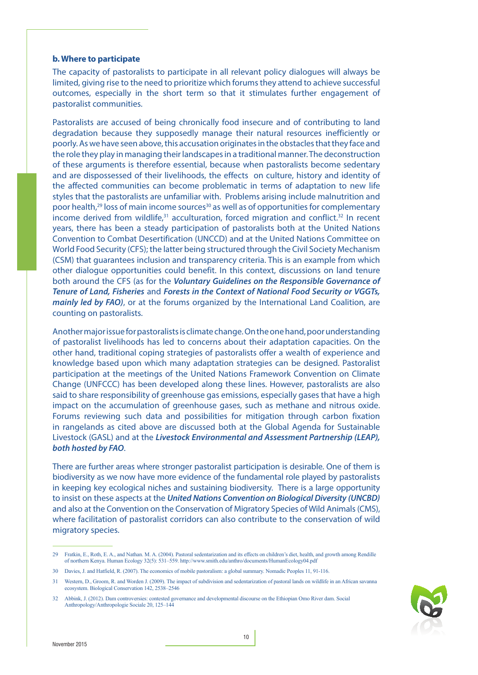#### **b. Where to participate**

The capacity of pastoralists to participate in all relevant policy dialogues will always be limited, giving rise to the need to prioritize which forums they attend to achieve successful outcomes, especially in the short term so that it stimulates further engagement of pastoralist communities.

Pastoralists are accused of being chronically food insecure and of contributing to land degradation because they supposedly manage their natural resources inefficiently or poorly. As we have seen above, this accusation originates in the obstacles that they face and the role they play in managing their landscapes in a traditional manner. The deconstruction of these arguments is therefore essential, because when pastoralists become sedentary and are dispossessed of their livelihoods, the effects on culture, history and identity of the affected communities can become problematic in terms of adaptation to new life styles that the pastoralists are unfamiliar with. Problems arising include malnutrition and poor health, $29$  loss of main income sources $30$  as well as of opportunities for complementary income derived from wildlife, $31$  acculturation, forced migration and conflict. $32$  In recent years, there has been a steady participation of pastoralists both at the United Nations Convention to Combat Desertification (UNCCD) and at the United Nations Committee on World Food Security (CFS); the latter being structured through the Civil Society Mechanism (CSM) that guarantees inclusion and transparency criteria. This is an example from which other dialogue opportunities could benefit. In this context, discussions on land tenure both around the CFS (as for the *Voluntary Guidelines on the Responsible Governance of Tenure of Land, Fisheries* and *Forests in the Context of National Food Security or VGGTs, mainly led by FAO)*, or at the forums organized by the International Land Coalition, are counting on pastoralists.

Another major issue for pastoralists is climate change. On the one hand, poor understanding of pastoralist livelihoods has led to concerns about their adaptation capacities. On the other hand, traditional coping strategies of pastoralists offer a wealth of experience and knowledge based upon which many adaptation strategies can be designed. Pastoralist participation at the meetings of the United Nations Framework Convention on Climate Change (UNFCCC) has been developed along these lines. However, pastoralists are also said to share responsibility of greenhouse gas emissions, especially gases that have a high impact on the accumulation of greenhouse gases, such as methane and nitrous oxide. Forums reviewing such data and possibilities for mitigation through carbon fixation in rangelands as cited above are discussed both at the Global Agenda for Sustainable Livestock (GASL) and at the *Livestock Environmental and Assessment Partnership (LEAP), both hosted by FAO*.

There are further areas where stronger pastoralist participation is desirable. One of them is biodiversity as we now have more evidence of the fundamental role played by pastoralists in keeping key ecological niches and sustaining biodiversity. There is a large opportunity to insist on these aspects at the *United Nations Convention on Biological Diversity (UNCBD)*  and also at the Convention on the Conservation of Migratory Species of Wild Animals (CMS), where facilitation of pastoralist corridors can also contribute to the conservation of wild migratory species.



<sup>29</sup> Fratkin, E., Roth, E. A., and Nathan. M. A. (2004). Pastoral sedentarization and its effects on children's diet, health, and growth among Rendille of northern Kenya. Human Ecology 32(5): 531–559. http://www.smith.edu/anthro/documents/HumanEcology04.pdf

<sup>30</sup> Davies, J. and Hatfield, R. (2007). The economics of mobile pastoralism: a global summary. Nomadic Peoples 11, 91-116.

<sup>31</sup> Western, D., Groom, R. and Worden J. (2009). The impact of subdivision and sedentarization of pastoral lands on wildlife in an African savanna ecosystem. Biological Conservation 142, 2538–2546

<sup>32</sup> Abbink, J. (2012). Dam controversies: contested governance and developmental discourse on the Ethiopian Omo River dam. Social Anthropology/Anthropologie Sociale 20, 125–144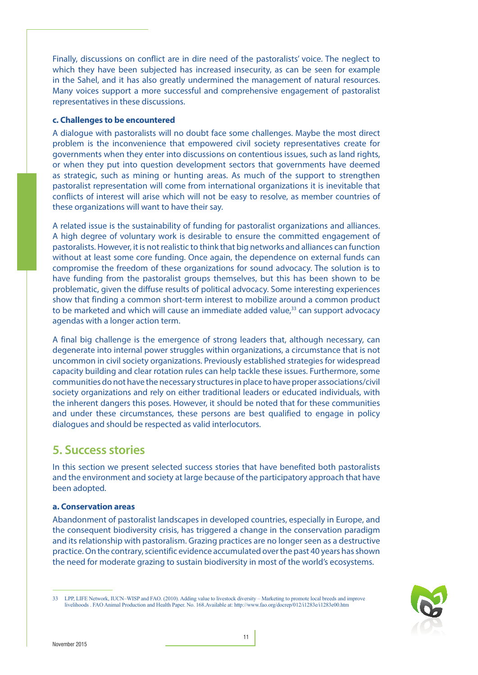Finally, discussions on conflict are in dire need of the pastoralists' voice. The neglect to which they have been subjected has increased insecurity, as can be seen for example in the Sahel, and it has also greatly undermined the management of natural resources. Many voices support a more successful and comprehensive engagement of pastoralist representatives in these discussions.

#### **c. Challenges to be encountered**

A dialogue with pastoralists will no doubt face some challenges. Maybe the most direct problem is the inconvenience that empowered civil society representatives create for governments when they enter into discussions on contentious issues, such as land rights, or when they put into question development sectors that governments have deemed as strategic, such as mining or hunting areas. As much of the support to strengthen pastoralist representation will come from international organizations it is inevitable that conflicts of interest will arise which will not be easy to resolve, as member countries of these organizations will want to have their say.

A related issue is the sustainability of funding for pastoralist organizations and alliances. A high degree of voluntary work is desirable to ensure the committed engagement of pastoralists. However, it is not realistic to think that big networks and alliances can function without at least some core funding. Once again, the dependence on external funds can compromise the freedom of these organizations for sound advocacy. The solution is to have funding from the pastoralist groups themselves, but this has been shown to be problematic, given the diffuse results of political advocacy. Some interesting experiences show that finding a common short-term interest to mobilize around a common product to be marketed and which will cause an immediate added value, $33$  can support advocacy agendas with a longer action term.

A final big challenge is the emergence of strong leaders that, although necessary, can degenerate into internal power struggles within organizations, a circumstance that is not uncommon in civil society organizations. Previously established strategies for widespread capacity building and clear rotation rules can help tackle these issues. Furthermore, some communities do not have the necessary structures in place to have proper associations/civil society organizations and rely on either traditional leaders or educated individuals, with the inherent dangers this poses. However, it should be noted that for these communities and under these circumstances, these persons are best qualified to engage in policy dialogues and should be respected as valid interlocutors.

## **5. Success stories**

In this section we present selected success stories that have benefited both pastoralists and the environment and society at large because of the participatory approach that have been adopted.

#### **a. Conservation areas**

Abandonment of pastoralist landscapes in developed countries, especially in Europe, and the consequent biodiversity crisis, has triggered a change in the conservation paradigm and its relationship with pastoralism. Grazing practices are no longer seen as a destructive practice. On the contrary, scientific evidence accumulated over the past 40 years has shown the need for moderate grazing to sustain biodiversity in most of the world's ecosystems.



<sup>33</sup> LPP, LIFE Network, IUCN–WISP and FAO. (2010). Adding value to livestock diversity – Marketing to promote local breeds and improve livelihoods . FAO Animal Production and Health Paper. No. 168.Available at: http://www.fao.org/docrep/012/i1283e/i1283e00.htm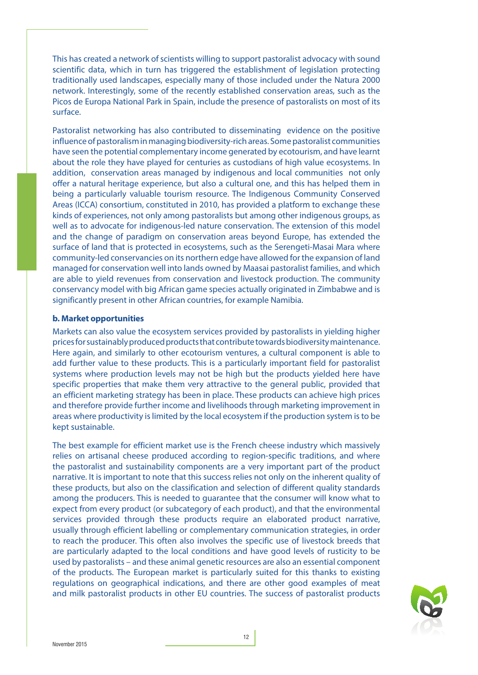This has created a network of scientists willing to support pastoralist advocacy with sound scientific data, which in turn has triggered the establishment of legislation protecting traditionally used landscapes, especially many of those included under the Natura 2000 network. Interestingly, some of the recently established conservation areas, such as the Picos de Europa National Park in Spain, include the presence of pastoralists on most of its surface.

Pastoralist networking has also contributed to disseminating evidence on the positive influence of pastoralism in managing biodiversity-rich areas. Some pastoralist communities have seen the potential complementary income generated by ecotourism, and have learnt about the role they have played for centuries as custodians of high value ecosystems. In addition, conservation areas managed by indigenous and local communities not only offer a natural heritage experience, but also a cultural one, and this has helped them in being a particularly valuable tourism resource. The Indigenous Community Conserved Areas (ICCA) consortium, constituted in 2010, has provided a platform to exchange these kinds of experiences, not only among pastoralists but among other indigenous groups, as well as to advocate for indigenous-led nature conservation. The extension of this model and the change of paradigm on conservation areas beyond Europe, has extended the surface of land that is protected in ecosystems, such as the Serengeti-Masai Mara where community-led conservancies on its northern edge have allowed for the expansion of land managed for conservation well into lands owned by Maasai pastoralist families, and which are able to yield revenues from conservation and livestock production. The community conservancy model with big African game species actually originated in Zimbabwe and is significantly present in other African countries, for example Namibia.

#### **b. Market opportunities**

Markets can also value the ecosystem services provided by pastoralists in yielding higher prices for sustainably produced products that contribute towards biodiversity maintenance. Here again, and similarly to other ecotourism ventures, a cultural component is able to add further value to these products. This is a particularly important field for pastoralist systems where production levels may not be high but the products yielded here have specific properties that make them very attractive to the general public, provided that an efficient marketing strategy has been in place. These products can achieve high prices and therefore provide further income and livelihoods through marketing improvement in areas where productivity is limited by the local ecosystem if the production system is to be kept sustainable.

The best example for efficient market use is the French cheese industry which massively relies on artisanal cheese produced according to region-specific traditions, and where the pastoralist and sustainability components are a very important part of the product narrative. It is important to note that this success relies not only on the inherent quality of these products, but also on the classification and selection of different quality standards among the producers. This is needed to guarantee that the consumer will know what to expect from every product (or subcategory of each product), and that the environmental services provided through these products require an elaborated product narrative, usually through efficient labelling or complementary communication strategies, in order to reach the producer. This often also involves the specific use of livestock breeds that are particularly adapted to the local conditions and have good levels of rusticity to be used by pastoralists – and these animal genetic resources are also an essential component of the products. The European market is particularly suited for this thanks to existing regulations on geographical indications, and there are other good examples of meat and milk pastoralist products in other EU countries. The success of pastoralist products

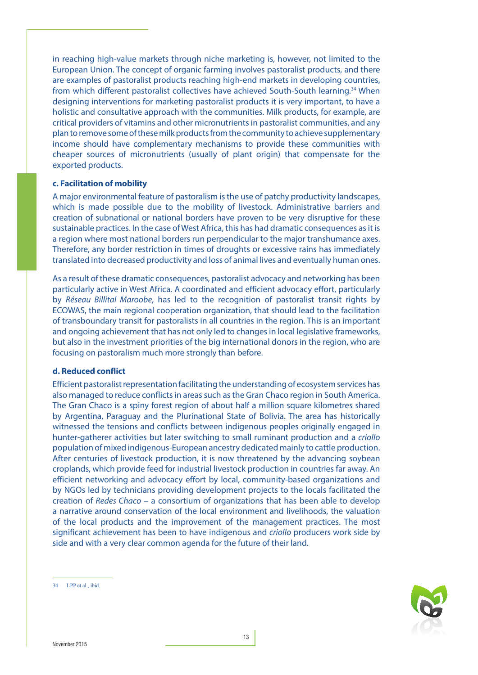in reaching high-value markets through niche marketing is, however, not limited to the European Union. The concept of organic farming involves pastoralist products, and there are examples of pastoralist products reaching high-end markets in developing countries, from which different pastoralist collectives have achieved South-South learning.<sup>34</sup> When designing interventions for marketing pastoralist products it is very important, to have a holistic and consultative approach with the communities. Milk products, for example, are critical providers of vitamins and other micronutrients in pastoralist communities, and any plan to remove some of these milk products from the community to achieve supplementary income should have complementary mechanisms to provide these communities with cheaper sources of micronutrients (usually of plant origin) that compensate for the exported products.

#### **c. Facilitation of mobility**

A major environmental feature of pastoralism is the use of patchy productivity landscapes, which is made possible due to the mobility of livestock. Administrative barriers and creation of subnational or national borders have proven to be very disruptive for these sustainable practices. In the case of West Africa, this has had dramatic consequences as it is a region where most national borders run perpendicular to the major transhumance axes. Therefore, any border restriction in times of droughts or excessive rains has immediately translated into decreased productivity and loss of animal lives and eventually human ones.

As a result of these dramatic consequences, pastoralist advocacy and networking has been particularly active in West Africa. A coordinated and efficient advocacy effort, particularly by *Réseau Billital Maroobe*, has led to the recognition of pastoralist transit rights by ECOWAS, the main regional cooperation organization, that should lead to the facilitation of transboundary transit for pastoralists in all countries in the region. This is an important and ongoing achievement that has not only led to changes in local legislative frameworks, but also in the investment priorities of the big international donors in the region, who are focusing on pastoralism much more strongly than before.

#### **d. Reduced conflict**

Efficient pastoralist representation facilitating the understanding of ecosystem services has also managed to reduce conflicts in areas such as the Gran Chaco region in South America. The Gran Chaco is a spiny forest region of about half a million square kilometres shared by Argentina, Paraguay and the Plurinational State of Bolivia. The area has historically witnessed the tensions and conflicts between indigenous peoples originally engaged in hunter-gatherer activities but later switching to small ruminant production and a *criollo*  population of mixed indigenous-European ancestry dedicated mainly to cattle production. After centuries of livestock production, it is now threatened by the advancing soybean croplands, which provide feed for industrial livestock production in countries far away. An efficient networking and advocacy effort by local, community-based organizations and by NGOs led by technicians providing development projects to the locals facilitated the creation of *Redes Chaco* – a consortium of organizations that has been able to develop a narrative around conservation of the local environment and livelihoods, the valuation of the local products and the improvement of the management practices. The most significant achievement has been to have indigenous and *criollo* producers work side by side and with a very clear common agenda for the future of their land.

LPP et al., ibid.

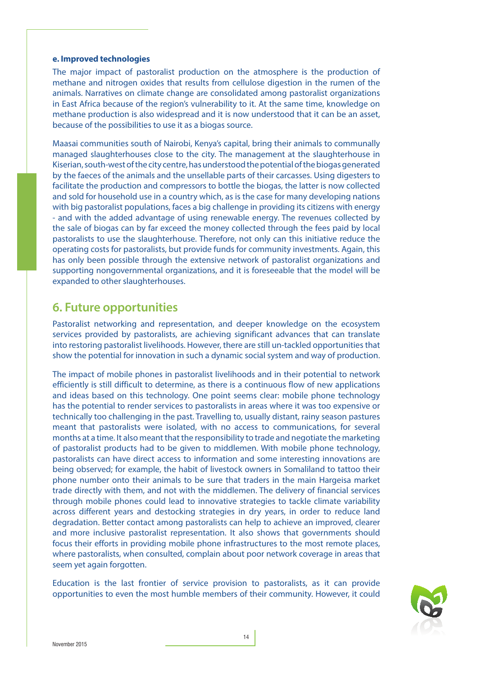#### **e. Improved technologies**

The major impact of pastoralist production on the atmosphere is the production of methane and nitrogen oxides that results from cellulose digestion in the rumen of the animals. Narratives on climate change are consolidated among pastoralist organizations in East Africa because of the region's vulnerability to it. At the same time, knowledge on methane production is also widespread and it is now understood that it can be an asset, because of the possibilities to use it as a biogas source.

Maasai communities south of Nairobi, Kenya's capital, bring their animals to communally managed slaughterhouses close to the city. The management at the slaughterhouse in Kiserian, south-west of the city centre, has understood the potential of the biogas generated by the faeces of the animals and the unsellable parts of their carcasses. Using digesters to facilitate the production and compressors to bottle the biogas, the latter is now collected and sold for household use in a country which, as is the case for many developing nations with big pastoralist populations, faces a big challenge in providing its citizens with energy - and with the added advantage of using renewable energy. The revenues collected by the sale of biogas can by far exceed the money collected through the fees paid by local pastoralists to use the slaughterhouse. Therefore, not only can this initiative reduce the operating costs for pastoralists, but provide funds for community investments. Again, this has only been possible through the extensive network of pastoralist organizations and supporting nongovernmental organizations, and it is foreseeable that the model will be expanded to other slaughterhouses.

## **6. Future opportunities**

Pastoralist networking and representation, and deeper knowledge on the ecosystem services provided by pastoralists, are achieving significant advances that can translate into restoring pastoralist livelihoods. However, there are still un-tackled opportunities that show the potential for innovation in such a dynamic social system and way of production.

The impact of mobile phones in pastoralist livelihoods and in their potential to network efficiently is still difficult to determine, as there is a continuous flow of new applications and ideas based on this technology. One point seems clear: mobile phone technology has the potential to render services to pastoralists in areas where it was too expensive or technically too challenging in the past. Travelling to, usually distant, rainy season pastures meant that pastoralists were isolated, with no access to communications, for several months at a time. It also meant that the responsibility to trade and negotiate the marketing of pastoralist products had to be given to middlemen. With mobile phone technology, pastoralists can have direct access to information and some interesting innovations are being observed; for example, the habit of livestock owners in Somaliland to tattoo their phone number onto their animals to be sure that traders in the main Hargeisa market trade directly with them, and not with the middlemen. The delivery of financial services through mobile phones could lead to innovative strategies to tackle climate variability across different years and destocking strategies in dry years, in order to reduce land degradation. Better contact among pastoralists can help to achieve an improved, clearer and more inclusive pastoralist representation. It also shows that governments should focus their efforts in providing mobile phone infrastructures to the most remote places, where pastoralists, when consulted, complain about poor network coverage in areas that seem yet again forgotten.

Education is the last frontier of service provision to pastoralists, as it can provide opportunities to even the most humble members of their community. However, it could

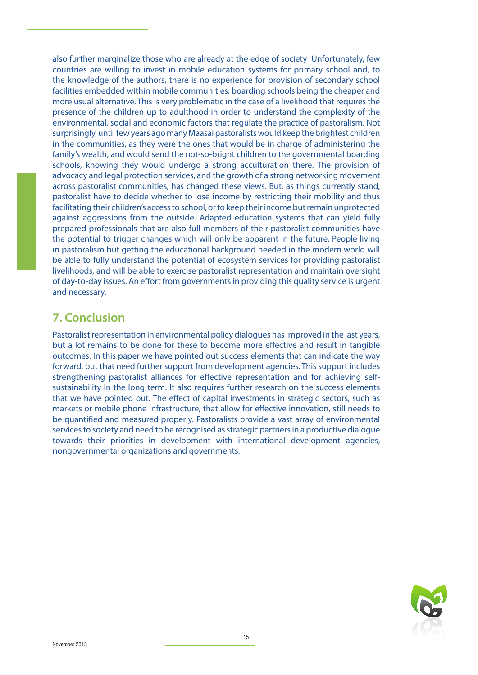also further marginalize those who are already at the edge of society Unfortunately, few countries are willing to invest in mobile education systems for primary school and, to the knowledge of the authors, there is no experience for provision of secondary school facilities embedded within mobile communities, boarding schools being the cheaper and more usual alternative. This is very problematic in the case of a livelihood that requires the presence of the children up to adulthood in order to understand the complexity of the environmental, social and economic factors that regulate the practice of pastoralism. Not surprisingly, until few years ago many Maasai pastoralists would keep the brightest children in the communities, as they were the ones that would be in charge of administering the family's wealth, and would send the not-so-bright children to the governmental boarding schools, knowing they would undergo a strong acculturation there. The provision of advocacy and legal protection services, and the growth of a strong networking movement across pastoralist communities, has changed these views. But, as things currently stand, pastoralist have to decide whether to lose income by restricting their mobility and thus facilitating their children's access to school, or to keep their income but remain unprotected against aggressions from the outside. Adapted education systems that can yield fully prepared professionals that are also full members of their pastoralist communities have the potential to trigger changes which will only be apparent in the future. People living in pastoralism but getting the educational background needed in the modern world will be able to fully understand the potential of ecosystem services for providing pastoralist livelihoods, and will be able to exercise pastoralist representation and maintain oversight of day-to-day issues. An effort from governments in providing this quality service is urgent and necessary.

## **7. Conclusion**

Pastoralist representation in environmental policy dialogues has improved in the last years, but a lot remains to be done for these to become more effective and result in tangible outcomes. In this paper we have pointed out success elements that can indicate the way forward, but that need further support from development agencies. This support includes strengthening pastoralist alliances for effective representation and for achieving selfsustainability in the long term. It also requires further research on the success elements that we have pointed out. The effect of capital investments in strategic sectors, such as markets or mobile phone infrastructure, that allow for effective innovation, still needs to be quantified and measured properly. Pastoralists provide a vast array of environmental services to society and need to be recognised as strategic partners in a productive dialogue towards their priorities in development with international development agencies, nongovernmental organizations and governments.